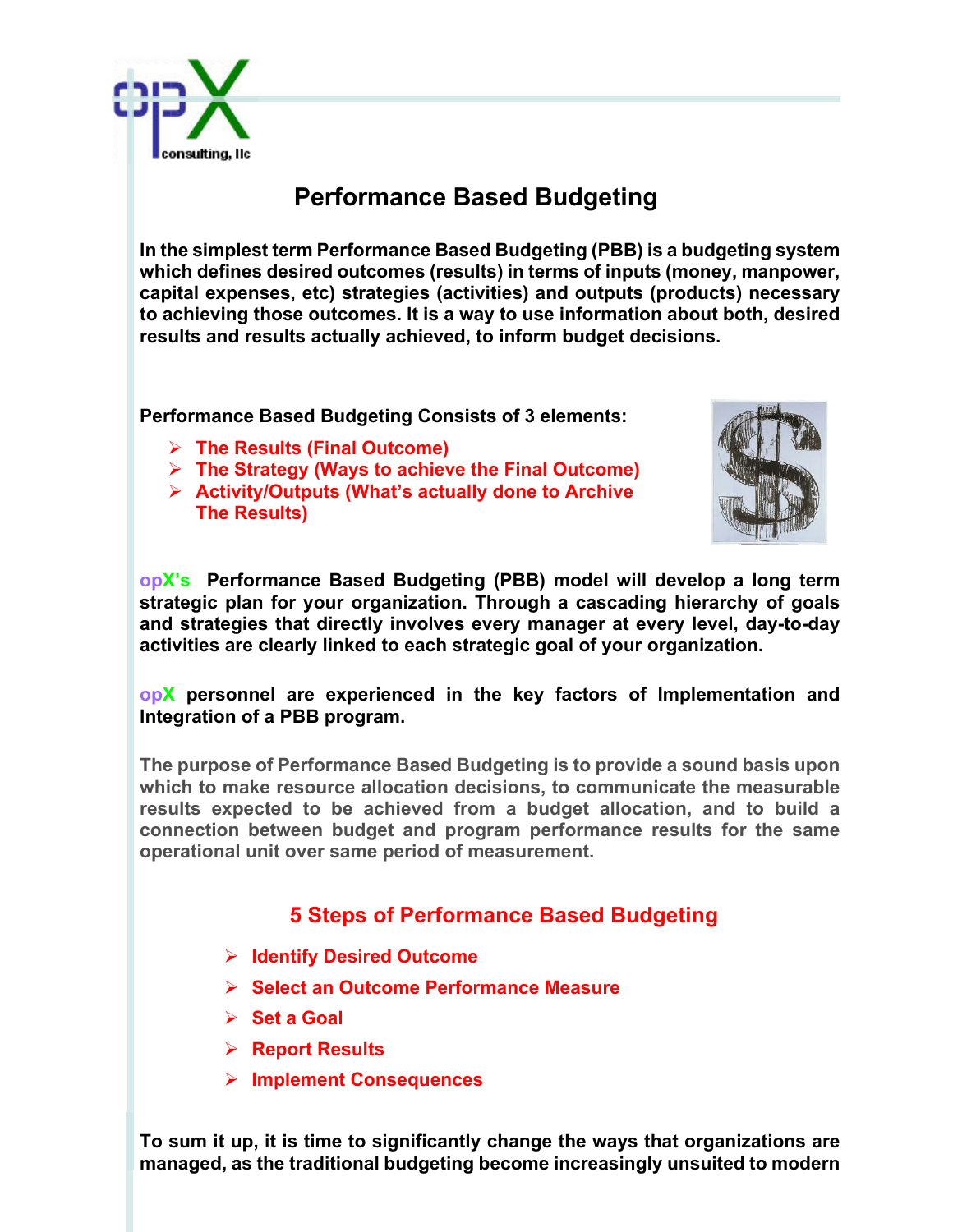

## **Performance Based Budgeting**

**In the simplest term Performance Based Budgeting (PBB) is a budgeting system which defines desired outcomes (results) in terms of inputs (money, manpower, capital expenses, etc) strategies (activities) and outputs (products) necessary to achieving those outcomes. It is a way to use information about both, desired results and results actually achieved, to inform budget decisions.**

**Performance Based Budgeting Consists of 3 elements:**

- Ø **The Results (Final Outcome)**
- Ø **The Strategy (Ways to achieve the Final Outcome)**
- Ø **Activity/Outputs (What's actually done to Archive The Results)**



**opX's Performance Based Budgeting (PBB) model will develop a long term strategic plan for your organization. Through a cascading hierarchy of goals and strategies that directly involves every manager at every level, day-to-day activities are clearly linked to each strategic goal of your organization.**

**opX personnel are experienced in the key factors of Implementation and Integration of a PBB program.**

**The purpose of Performance Based Budgeting is to provide a sound basis upon which to make resource allocation decisions, to communicate the measurable results expected to be achieved from a budget allocation, and to build a connection between budget and program performance results for the same operational unit over same period of measurement.**

## **5 Steps of Performance Based Budgeting**

- Ø **Identify Desired Outcome**
- Ø **Select an Outcome Performance Measure**
- Ø **Set a Goal**
- Ø **Report Results**
- Ø **Implement Consequences**

**To sum it up, it is time to significantly change the ways that organizations are managed, as the traditional budgeting become increasingly unsuited to modern**